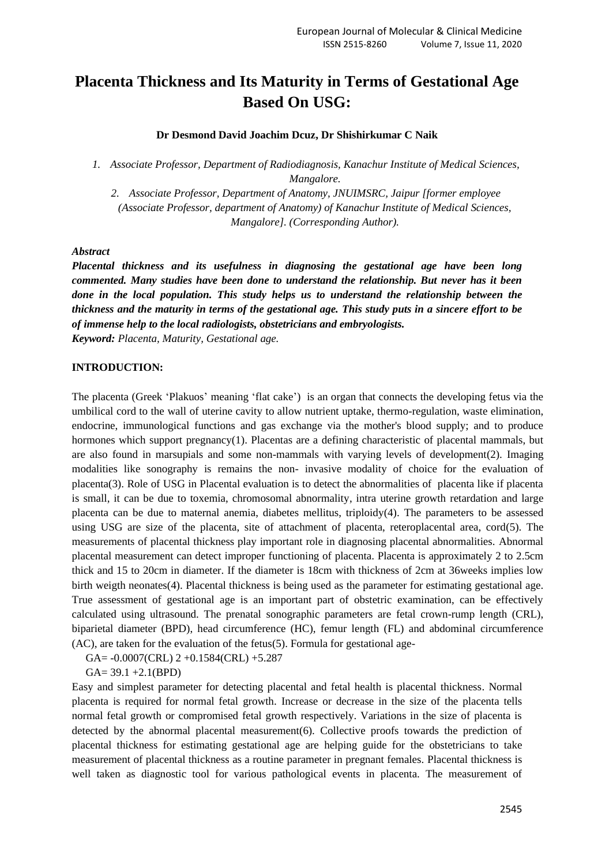# **Placenta Thickness and Its Maturity in Terms of Gestational Age Based On USG:**

## **Dr Desmond David Joachim Dcuz, Dr Shishirkumar C Naik**

*1. Associate Professor, Department of Radiodiagnosis, Kanachur Institute of Medical Sciences, Mangalore.*

*2. Associate Professor, Department of Anatomy, JNUIMSRC, Jaipur [former employee (Associate Professor, department of Anatomy) of Kanachur Institute of Medical Sciences, Mangalore]. (Corresponding Author).*

#### *Abstract*

*Placental thickness and its usefulness in diagnosing the gestational age have been long commented. Many studies have been done to understand the relationship. But never has it been done in the local population. This study helps us to understand the relationship between the thickness and the maturity in terms of the gestational age. This study puts in a sincere effort to be of immense help to the local radiologists, obstetricians and embryologists.*

*Keyword: Placenta, Maturity, Gestational age.* 

## **INTRODUCTION:**

The placenta (Greek 'Plakuos' meaning 'flat cake') is an organ that connects the developing fetus via the umbilical cord to the wall of uterine cavity to allow nutrient uptake, thermo-regulation, waste elimination, endocrine, immunological functions and gas exchange via the mother's blood supply; and to produce hormones which support pregnancy(1). Placentas are a defining characteristic of placental mammals, but are also found in marsupials and some non-mammals with varying levels of development(2). Imaging modalities like sonography is remains the non- invasive modality of choice for the evaluation of placenta(3). Role of USG in Placental evaluation is to detect the abnormalities of placenta like if placenta is small, it can be due to toxemia, chromosomal abnormality, intra uterine growth retardation and large placenta can be due to maternal anemia, diabetes mellitus, triploidy(4). The parameters to be assessed using USG are size of the placenta, site of attachment of placenta, reteroplacental area, cord(5). The measurements of placental thickness play important role in diagnosing placental abnormalities. Abnormal placental measurement can detect improper functioning of placenta. Placenta is approximately 2 to 2.5cm thick and 15 to 20cm in diameter. If the diameter is 18cm with thickness of 2cm at 36weeks implies low birth weigth neonates(4). Placental thickness is being used as the parameter for estimating gestational age. True assessment of gestational age is an important part of obstetric examination, can be effectively calculated using ultrasound. The prenatal sonographic parameters are fetal crown-rump length (CRL), biparietal diameter (BPD), head circumference (HC), femur length (FL) and abdominal circumference (AC), are taken for the evaluation of the fetus(5). Formula for gestational age-

GA= -0.0007(CRL) 2 +0.1584(CRL) +5.287

 $GA = 39.1 + 2.1(BPD)$ 

Easy and simplest parameter for detecting placental and fetal health is placental thickness. Normal placenta is required for normal fetal growth. Increase or decrease in the size of the placenta tells normal fetal growth or compromised fetal growth respectively. Variations in the size of placenta is detected by the abnormal placental measurement(6). Collective proofs towards the prediction of placental thickness for estimating gestational age are helping guide for the obstetricians to take measurement of placental thickness as a routine parameter in pregnant females. Placental thickness is well taken as diagnostic tool for various pathological events in placenta. The measurement of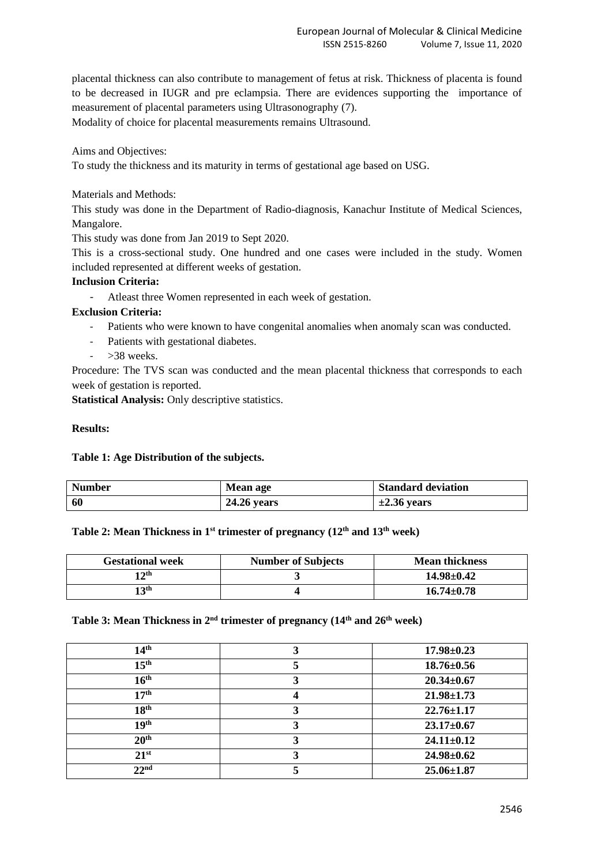placental thickness can also contribute to management of fetus at risk. Thickness of placenta is found to be decreased in IUGR and pre eclampsia. There are evidences supporting the importance of measurement of placental parameters using Ultrasonography (7).

Modality of choice for placental measurements remains Ultrasound.

Aims and Objectives:

To study the thickness and its maturity in terms of gestational age based on USG.

Materials and Methods:

This study was done in the Department of Radio-diagnosis, Kanachur Institute of Medical Sciences, Mangalore.

This study was done from Jan 2019 to Sept 2020.

This is a cross-sectional study. One hundred and one cases were included in the study. Women included represented at different weeks of gestation.

# **Inclusion Criteria:**

- Atleast three Women represented in each week of gestation.

# **Exclusion Criteria:**

- Patients who were known to have congenital anomalies when anomaly scan was conducted.
- Patients with gestational diabetes.
- >38 weeks.

Procedure: The TVS scan was conducted and the mean placental thickness that corresponds to each week of gestation is reported.

**Statistical Analysis:** Only descriptive statistics.

# **Results:**

## **Table 1: Age Distribution of the subjects.**

| <b>Number</b> | Mean age           | <b>Standard deviation</b> |
|---------------|--------------------|---------------------------|
| 60            | <b>24.26 years</b> | $\pm 2.36$ years          |

# **Table 2: Mean Thickness in 1st trimester of pregnancy (12th and 13th week)**

| <b>Gestational week</b> | <b>Number of Subjects</b> | <b>Mean thickness</b> |
|-------------------------|---------------------------|-----------------------|
| 12 <sup>th</sup>        |                           | $14.98 \pm 0.42$      |
| 13 <sup>th</sup>        |                           | $16.74 \pm 0.78$      |

# **Table 3: Mean Thickness in 2nd trimester of pregnancy (14th and 26th week)**

| 14 <sup>th</sup> | ∍ | $17.98 \pm 0.23$ |
|------------------|---|------------------|
| 15 <sup>th</sup> |   | $18.76 \pm 0.56$ |
| 16 <sup>th</sup> |   | $20.34 \pm 0.67$ |
| 17 <sup>th</sup> |   | $21.98 \pm 1.73$ |
| 18 <sup>th</sup> |   | $22.76 \pm 1.17$ |
| 19 <sup>th</sup> |   | $23.17 \pm 0.67$ |
| 20 <sup>th</sup> |   | $24.11 \pm 0.12$ |
| $21^{st}$        |   | $24.98 \pm 0.62$ |
| 22 <sup>nd</sup> |   | $25.06 \pm 1.87$ |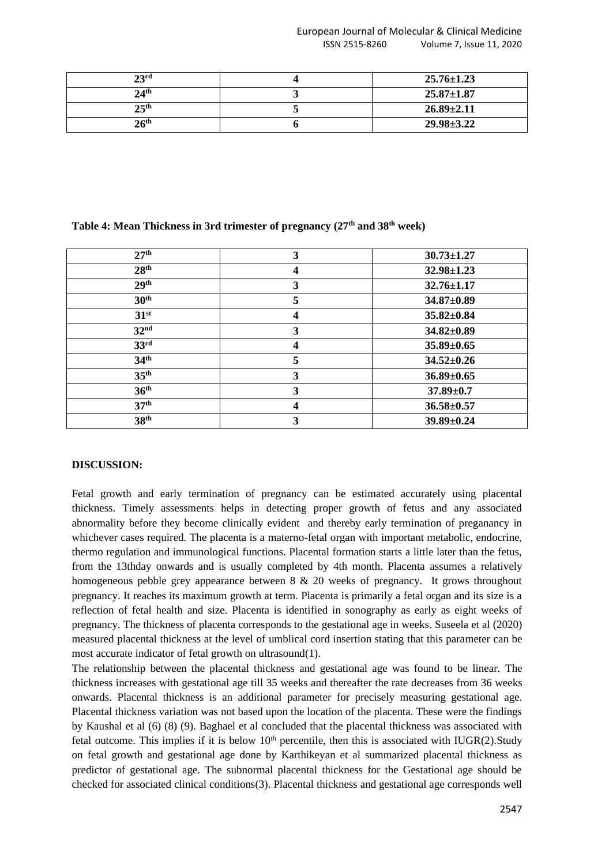| 23 <sup>rd</sup> | $25.76 \pm 1.23$ |
|------------------|------------------|
| $24^{\rm th}$    | $25.87 \pm 1.87$ |
| 25 <sup>th</sup> | $26.89 \pm 2.11$ |
| $26^{\rm th}$    | $29.98 \pm 3.22$ |

| 27 <sup>th</sup> | 3              | $30.73 \pm 1.27$ |
|------------------|----------------|------------------|
| 28 <sup>th</sup> | 4              | $32.98 \pm 1.23$ |
| 29 <sup>th</sup> | 3              | $32.76 \pm 1.17$ |
| 30 <sup>th</sup> | 5              | $34.87 \pm 0.89$ |
| 31 <sup>st</sup> | 4              | $35.82 \pm 0.84$ |
| 32 <sup>nd</sup> | 3              | $34.82 \pm 0.89$ |
| 33 <sup>rd</sup> | $\overline{4}$ | $35.89 \pm 0.65$ |
| 34 <sup>th</sup> | 5              | $34.52 \pm 0.26$ |
| 35 <sup>th</sup> | 3              | $36.89 \pm 0.65$ |
| 36 <sup>th</sup> | 3              | $37.89 \pm 0.7$  |
| 37 <sup>th</sup> | 4              | $36.58 \pm 0.57$ |
| 38 <sup>th</sup> | 3              | $39.89 \pm 0.24$ |

## **Table 4: Mean Thickness in 3rd trimester of pregnancy (27th and 38th week)**

## **DISCUSSION:**

Fetal growth and early termination of pregnancy can be estimated accurately using placental thickness. Timely assessments helps in detecting proper growth of fetus and any associated abnormality before they become clinically evident and thereby early termination of preganancy in whichever cases required. The placenta is a materno-fetal organ with important metabolic, endocrine, thermo regulation and immunological functions. Placental formation starts a little later than the fetus, from the 13thday onwards and is usually completed by 4th month. Placenta assumes a relatively homogeneous pebble grey appearance between 8 & 20 weeks of pregnancy. It grows throughout pregnancy. It reaches its maximum growth at term. Placenta is primarily a fetal organ and its size is a reflection of fetal health and size. Placenta is identified in sonography as early as eight weeks of pregnancy. The thickness of placenta corresponds to the gestational age in weeks. Suseela et al (2020) measured placental thickness at the level of umblical cord insertion stating that this parameter can be most accurate indicator of fetal growth on ultrasound(1).

The relationship between the placental thickness and gestational age was found to be linear. The thickness increases with gestational age till 35 weeks and thereafter the rate decreases from 36 weeks onwards. Placental thickness is an additional parameter for precisely measuring gestational age. Placental thickness variation was not based upon the location of the placenta. These were the findings by Kaushal et al (6) (8) (9). Baghael et al concluded that the placental thickness was associated with fetal outcome. This implies if it is below  $10<sup>th</sup>$  percentile, then this is associated with IUGR(2). Study on fetal growth and gestational age done by Karthikeyan et al summarized placental thickness as predictor of gestational age. The subnormal placental thickness for the Gestational age should be checked for associated clinical conditions(3). Placental thickness and gestational age corresponds well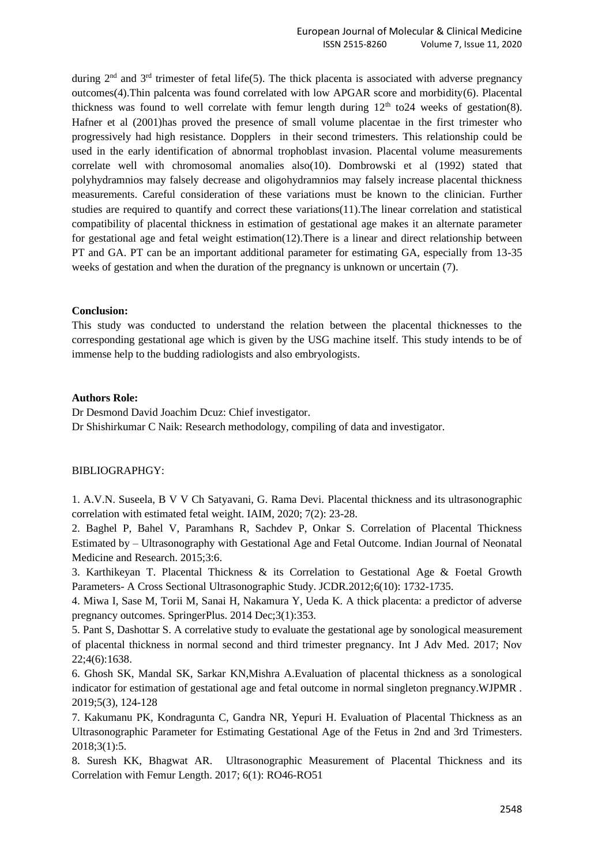during  $2<sup>nd</sup>$  and  $3<sup>rd</sup>$  trimester of fetal life(5). The thick placenta is associated with adverse pregnancy outcomes(4).Thin palcenta was found correlated with low APGAR score and morbidity(6). Placental thickness was found to well correlate with femur length during  $12<sup>th</sup>$  to 24 weeks of gestation(8). Hafner et al (2001)has proved the presence of small volume placentae in the first trimester who progressively had high resistance. Dopplers in their second trimesters. This relationship could be used in the early identification of abnormal trophoblast invasion. Placental volume measurements correlate well with chromosomal anomalies also(10). Dombrowski et al (1992) stated that polyhydramnios may falsely decrease and oligohydramnios may falsely increase placental thickness measurements. Careful consideration of these variations must be known to the clinician. Further studies are required to quantify and correct these variations(11).The linear correlation and statistical compatibility of placental thickness in estimation of gestational age makes it an alternate parameter for gestational age and fetal weight estimation(12).There is a linear and direct relationship between PT and GA. PT can be an important additional parameter for estimating GA, especially from 13-35 weeks of gestation and when the duration of the pregnancy is unknown or uncertain (7).

#### **Conclusion:**

This study was conducted to understand the relation between the placental thicknesses to the corresponding gestational age which is given by the USG machine itself. This study intends to be of immense help to the budding radiologists and also embryologists.

#### **Authors Role:**

Dr Desmond David Joachim Dcuz: Chief investigator. Dr Shishirkumar C Naik: Research methodology, compiling of data and investigator.

## BIBLIOGRAPHGY:

1. A.V.N. Suseela, B V V Ch Satyavani, G. Rama Devi. Placental thickness and its ultrasonographic correlation with estimated fetal weight. IAIM, 2020; 7(2): 23-28.

2. Baghel P, Bahel V, Paramhans R, Sachdev P, Onkar S. Correlation of Placental Thickness Estimated by – Ultrasonography with Gestational Age and Fetal Outcome. Indian Journal of Neonatal Medicine and Research. 2015;3:6.

3. Karthikeyan T. Placental Thickness & its Correlation to Gestational Age & Foetal Growth Parameters- A Cross Sectional Ultrasonographic Study. JCDR.2012;6(10): 1732-1735.

4. Miwa I, Sase M, Torii M, Sanai H, Nakamura Y, Ueda K. A thick placenta: a predictor of adverse pregnancy outcomes. SpringerPlus. 2014 Dec;3(1):353.

5. Pant S, Dashottar S. A correlative study to evaluate the gestational age by sonological measurement of placental thickness in normal second and third trimester pregnancy. Int J Adv Med. 2017; Nov 22;4(6):1638.

6. Ghosh SK, Mandal SK, Sarkar KN,Mishra A.Evaluation of placental thickness as a sonological indicator for estimation of gestational age and fetal outcome in normal singleton pregnancy.WJPMR . 2019;5(3), 124-128

7. Kakumanu PK, Kondragunta C, Gandra NR, Yepuri H. Evaluation of Placental Thickness as an Ultrasonographic Parameter for Estimating Gestational Age of the Fetus in 2nd and 3rd Trimesters. 2018;3(1):5.

8. Suresh KK, Bhagwat AR. Ultrasonographic Measurement of Placental Thickness and its Correlation with Femur Length. 2017; 6(1): RO46-RO51